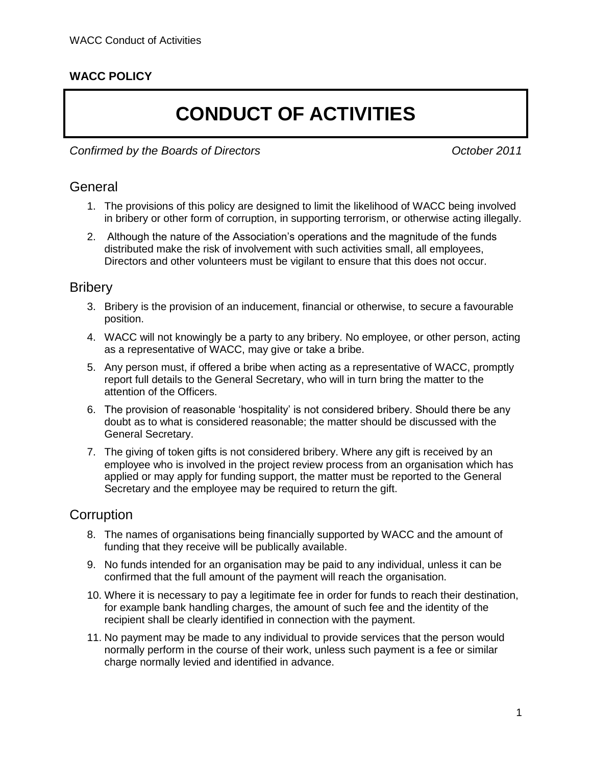## **WACC POLICY**

# **CONDUCT OF ACTIVITIES**

*Confirmed by the Boards of Directors October 2011*

#### **General**

- 1. The provisions of this policy are designed to limit the likelihood of WACC being involved in bribery or other form of corruption, in supporting terrorism, or otherwise acting illegally.
- 2. Although the nature of the Association's operations and the magnitude of the funds distributed make the risk of involvement with such activities small, all employees, Directors and other volunteers must be vigilant to ensure that this does not occur.

#### **Bribery**

- 3. Bribery is the provision of an inducement, financial or otherwise, to secure a favourable position.
- 4. WACC will not knowingly be a party to any bribery. No employee, or other person, acting as a representative of WACC, may give or take a bribe.
- 5. Any person must, if offered a bribe when acting as a representative of WACC, promptly report full details to the General Secretary, who will in turn bring the matter to the attention of the Officers.
- 6. The provision of reasonable 'hospitality' is not considered bribery. Should there be any doubt as to what is considered reasonable; the matter should be discussed with the General Secretary.
- 7. The giving of token gifts is not considered bribery. Where any gift is received by an employee who is involved in the project review process from an organisation which has applied or may apply for funding support, the matter must be reported to the General Secretary and the employee may be required to return the gift.

## **Corruption**

- 8. The names of organisations being financially supported by WACC and the amount of funding that they receive will be publically available.
- 9. No funds intended for an organisation may be paid to any individual, unless it can be confirmed that the full amount of the payment will reach the organisation.
- 10. Where it is necessary to pay a legitimate fee in order for funds to reach their destination, for example bank handling charges, the amount of such fee and the identity of the recipient shall be clearly identified in connection with the payment.
- 11. No payment may be made to any individual to provide services that the person would normally perform in the course of their work, unless such payment is a fee or similar charge normally levied and identified in advance.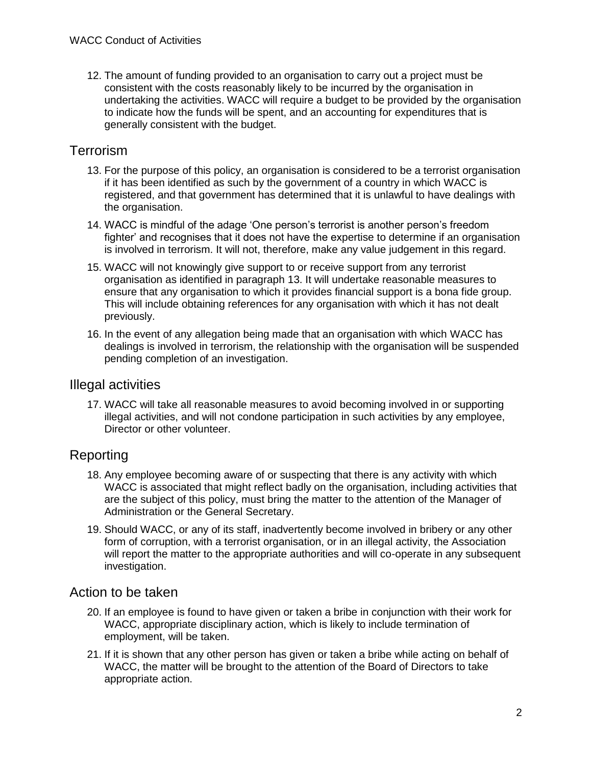12. The amount of funding provided to an organisation to carry out a project must be consistent with the costs reasonably likely to be incurred by the organisation in undertaking the activities. WACC will require a budget to be provided by the organisation to indicate how the funds will be spent, and an accounting for expenditures that is generally consistent with the budget.

# **Terrorism**

- <span id="page-1-0"></span>13. For the purpose of this policy, an organisation is considered to be a terrorist organisation if it has been identified as such by the government of a country in which WACC is registered, and that government has determined that it is unlawful to have dealings with the organisation.
- 14. WACC is mindful of the adage 'One person's terrorist is another person's freedom fighter' and recognises that it does not have the expertise to determine if an organisation is involved in terrorism. It will not, therefore, make any value judgement in this regard.
- 15. WACC will not knowingly give support to or receive support from any terrorist organisation as identified in paragraph [13.](#page-1-0) It will undertake reasonable measures to ensure that any organisation to which it provides financial support is a bona fide group. This will include obtaining references for any organisation with which it has not dealt previously.
- 16. In the event of any allegation being made that an organisation with which WACC has dealings is involved in terrorism, the relationship with the organisation will be suspended pending completion of an investigation.

#### Illegal activities

17. WACC will take all reasonable measures to avoid becoming involved in or supporting illegal activities, and will not condone participation in such activities by any employee, Director or other volunteer.

# Reporting

- 18. Any employee becoming aware of or suspecting that there is any activity with which WACC is associated that might reflect badly on the organisation, including activities that are the subject of this policy, must bring the matter to the attention of the Manager of Administration or the General Secretary.
- 19. Should WACC, or any of its staff, inadvertently become involved in bribery or any other form of corruption, with a terrorist organisation, or in an illegal activity, the Association will report the matter to the appropriate authorities and will co-operate in any subsequent investigation.

## Action to be taken

- 20. If an employee is found to have given or taken a bribe in conjunction with their work for WACC, appropriate disciplinary action, which is likely to include termination of employment, will be taken.
- 21. If it is shown that any other person has given or taken a bribe while acting on behalf of WACC, the matter will be brought to the attention of the Board of Directors to take appropriate action.